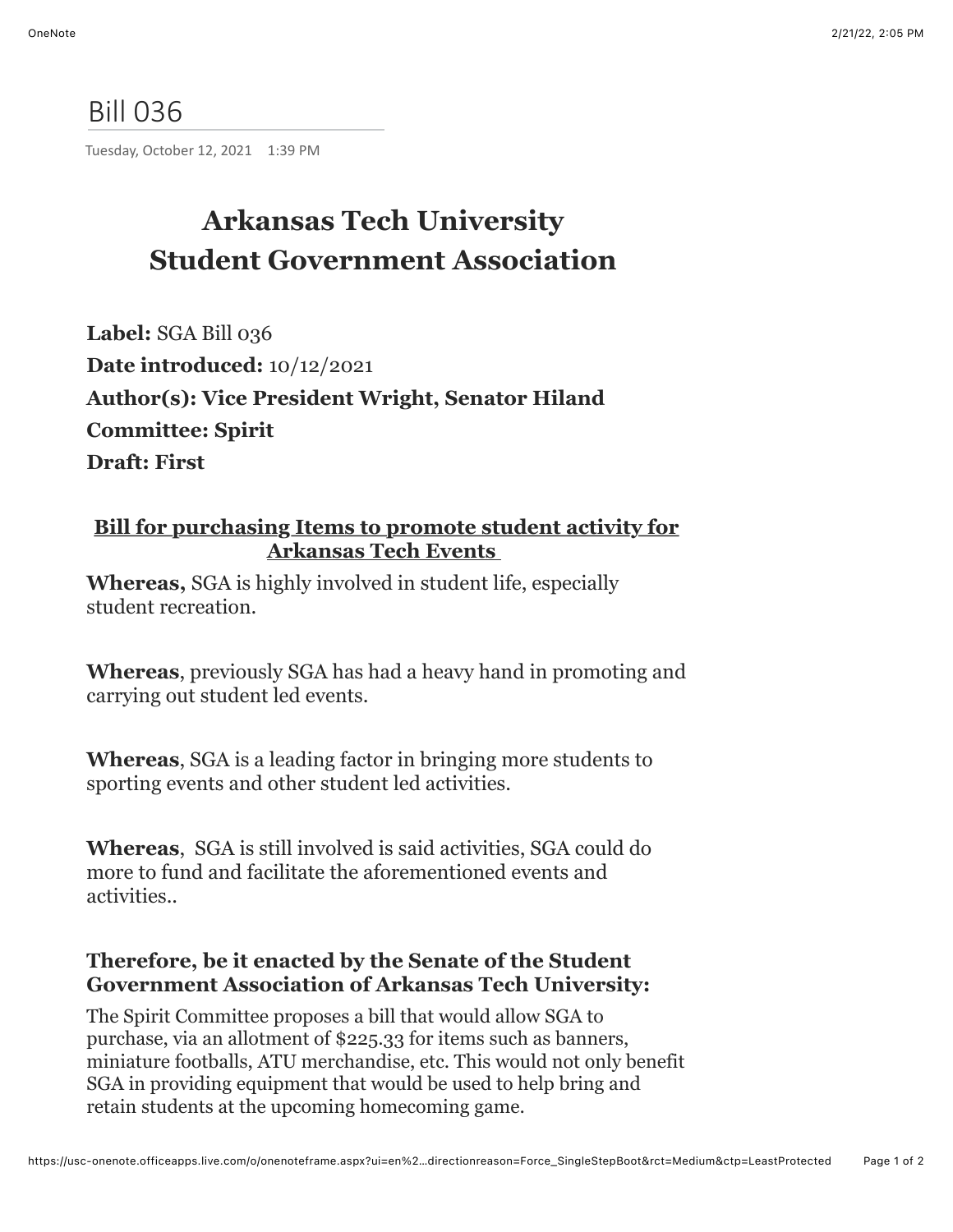## Bill 036

Tuesday, October 12, 2021 1:39 PM

## **Arkansas Tech University Student Government Association**

**Label:** SGA Bill 036 **Date introduced:** 10/12/2021 **Author(s): Vice President Wright, Senator Hiland Committee: Spirit Draft: First**

## **Bill for purchasing Items to promote student activity for Arkansas Tech Events**

**Whereas,** SGA is highly involved in student life, especially student recreation.

**Whereas**, previously SGA has had a heavy hand in promoting and carrying out student led events.

**Whereas**, SGA is a leading factor in bringing more students to sporting events and other student led activities.

**Whereas**, SGA is still involved is said activities, SGA could do more to fund and facilitate the aforementioned events and activities..

## **Therefore, be it enacted by the Senate of the Student Government Association of Arkansas Tech University:**

The Spirit Committee proposes a bill that would allow SGA to purchase, via an allotment of \$225.33 for items such as banners, miniature footballs, ATU merchandise, etc. This would not only benefit SGA in providing equipment that would be used to help bring and retain students at the upcoming homecoming game.